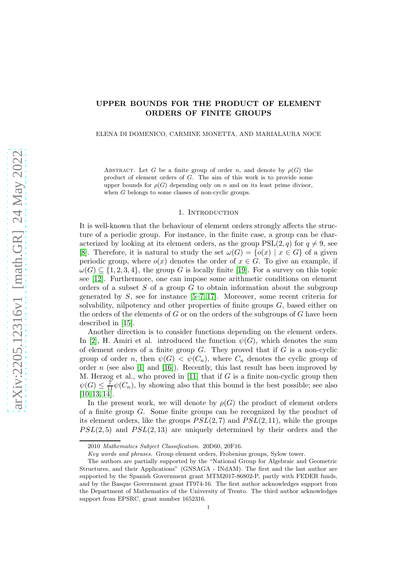# UPPER BOUNDS FOR THE PRODUCT OF ELEMENT ORDERS OF FINITE GROUPS

## ELENA DI DOMENICO, CARMINE MONETTA, AND MARIALAURA NOCE

ABSTRACT. Let G be a finite group of order n, and denote by  $\rho(G)$  the product of element orders of G. The aim of this work is to provide some upper bounds for  $\rho(G)$  depending only on n and on its least prime divisor, when G belongs to some classes of non-cyclic groups.

## 1. INTRODUCTION

It is well-known that the behaviour of element orders strongly affects the structure of a periodic group. For instance, in the finite case, a group can be characterized by looking at its element orders, as the group  $PSL(2, q)$  for  $q \neq 9$ , see [\[8\]](#page-8-0). Therefore, it is natural to study the set  $\omega(G) = \{o(x) | x \in G\}$  of a given periodic group, where  $o(x)$  denotes the order of  $x \in G$ . To give an example, if  $\omega(G) \subseteq \{1, 2, 3, 4\}$ , the group G is locally finite [\[19\]](#page-8-1). For a survey on this topic see [\[12\]](#page-8-2). Furthermore, one can impose some arithmetic conditions on element orders of a subset  $S$  of a group  $G$  to obtain information about the subgroup generated by  $S$ , see for instance  $[5-7, 17]$  $[5-7, 17]$  $[5-7, 17]$ . Moreover, some recent criteria for solvability, nilpotency and other properties of finite groups  $G$ , based either on the orders of the elements of  $G$  or on the orders of the subgroups of  $G$  have been described in [\[15\]](#page-8-6).

Another direction is to consider functions depending on the element orders. In [\[2\]](#page-8-7), H. Amiri et al. introduced the function  $\psi(G)$ , which denotes the sum of element orders of a finite group  $G$ . They proved that if  $G$  is a non-cyclic group of order n, then  $\psi(G) < \psi(C_n)$ , where  $C_n$  denotes the cyclic group of order  $n$  (see also [\[1\]](#page-8-8) and [\[16\]](#page-8-9)). Recently, this last result has been improved by M. Herzog et al., who proved in  $[11]$  that if G is a finite non-cyclic group then  $\psi(G) \leq \frac{7}{11}\psi(C_n)$ , by showing also that this bound is the best possible; see also  $[10, 13, 14].$  $[10, 13, 14].$  $[10, 13, 14].$  $[10, 13, 14].$ 

In the present work, we will denote by  $\rho(G)$  the product of element orders of a finite group G. Some finite groups can be recognized by the product of its element orders, like the groups  $PSL(2, 7)$  and  $PSL(2, 11)$ , while the groups  $PSL(2, 5)$  and  $PSL(2, 13)$  are uniquely determined by their orders and the

<sup>2010</sup> Mathematics Subject Classification. 20D60, 20F16.

Key words and phrases. Group element orders, Frobenius groups, Sylow tower.

The authors are partially supported by the "National Group for Algebraic and Geometric Structures, and their Applications" (GNSAGA - INdAM). The first and the last author are supported by the Spanish Government grant MTM2017-86802-P, partly with FEDER funds, and by the Basque Government grant IT974-16. The first author acknowledges support from the Department of Mathematics of the University of Trento. The third author acknowledges support from EPSRC, grant number 1652316.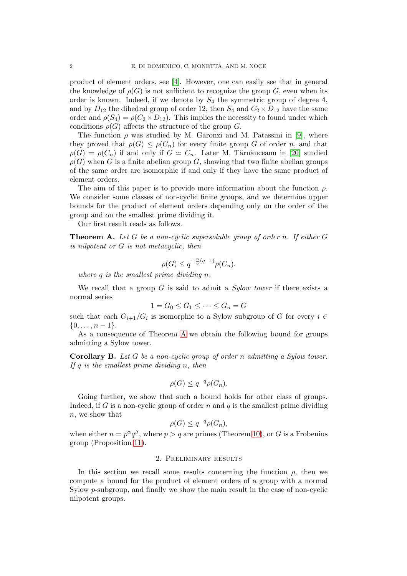product of element orders, see [\[4\]](#page-8-14). However, one can easily see that in general the knowledge of  $\rho(G)$  is not sufficient to recognize the group G, even when its order is known. Indeed, if we denote by  $S_4$  the symmetric group of degree 4, and by  $D_{12}$  the dihedral group of order 12, then  $S_4$  and  $C_2 \times D_{12}$  have the same order and  $\rho(S_4) = \rho(C_2 \times D_{12})$ . This implies the necessity to found under which conditions  $\rho(G)$  affects the structure of the group G.

The function  $\rho$  was studied by M. Garonzi and M. Patassini in [\[9\]](#page-8-15), where they proved that  $\rho(G) \leq \rho(C_n)$  for every finite group G of order n, and that  $\rho(G) = \rho(C_n)$  if and only if  $G \simeq C_n$ . Later M. Tărnăuceanu in [\[20\]](#page-8-16) studied  $\rho(G)$  when G is a finite abelian group G, showing that two finite abelian groups of the same order are isomorphic if and only if they have the same product of element orders.

The aim of this paper is to provide more information about the function  $\rho$ . We consider some classes of non-cyclic finite groups, and we determine upper bounds for the product of element orders depending only on the order of the group and on the smallest prime dividing it.

<span id="page-1-0"></span>Our first result reads as follows.

**Theorem A.** Let G be a non-cyclic supersoluble group of order n. If either  $G$ is nilpotent or G is not metacyclic, then

$$
\rho(G) \le q^{-\frac{n}{q}(q-1)}\rho(C_n).
$$

where q is the smallest prime dividing n.

We recall that a group  $G$  is said to admit a *Sylow tower* if there exists a normal series

$$
1 = G_0 \le G_1 \le \dots \le G_n = G
$$

such that each  $G_{i+1}/G_i$  is isomorphic to a Sylow subgroup of G for every  $i \in$  $\{0, \ldots, n-1\}.$ 

As a consequence of Theorem [A](#page-1-0) we obtain the following bound for groups admitting a Sylow tower.

Corollary B. Let G be a non-cyclic group of order n admitting a Sylow tower. If  $q$  is the smallest prime dividing n, then

$$
\rho(G) \leq q^{-q} \rho(C_n).
$$

Going further, we show that such a bound holds for other class of groups. Indeed, if G is a non-cyclic group of order n and q is the smallest prime dividing n, we show that

$$
\rho(G) \leq q^{-q} \rho(C_n),
$$

when either  $n = p^{\alpha}q^{\beta}$ , where  $p > q$  are primes (Theorem [10\)](#page-6-0), or G is a Frobenius group (Proposition [11\)](#page-6-1).

# 2. Preliminary results

In this section we recall some results concerning the function  $\rho$ , then we compute a bound for the product of element orders of a group with a normal Sylow p-subgroup, and finally we show the main result in the case of non-cyclic nilpotent groups.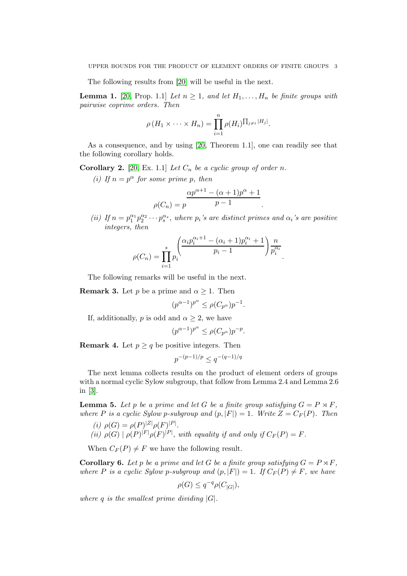<span id="page-2-3"></span>The following results from [\[20\]](#page-8-16) will be useful in the next.

**Lemma 1.** [\[20,](#page-8-16) Prop. 1.1] Let  $n \geq 1$ , and let  $H_1, \ldots, H_n$  be finite groups with pairwise coprime orders. Then

$$
\rho(H_1 \times \cdots \times H_n) = \prod_{i=1}^n \rho(H_i)^{\prod_{j \neq i} |H_j|}.
$$

As a consequence, and by using [\[20,](#page-8-16) Theorem 1.1], one can readily see that the following corollary holds.

Corollary 2. [\[20,](#page-8-16) Ex. 1.1] Let  $C_n$  be a cyclic group of order n.

(i) If  $n = p^{\alpha}$  for some prime p, then

$$
\rho(C_n) = p \frac{\alpha p^{\alpha+1} - (\alpha+1)p^{\alpha} + 1}{p-1}.
$$

(ii) If  $n = p_1^{\alpha_1} p_2^{\alpha_2} \cdots p_s^{\alpha_s}$ , where  $p_i$ 's are distinct primes and  $\alpha_i$ 's are positive integers, then

$$
\rho(C_n) = \prod_{i=1}^{s} p_i \frac{\left(\frac{\alpha_i p_i^{\alpha_i+1} - (\alpha_i+1) p_i^{\alpha_i} + 1}{p_i-1}\right) \frac{n}{p_i^{\alpha_i}}}{\prod_{i=1}^{s} p_i^{\alpha_i}}.
$$

<span id="page-2-1"></span>The following remarks will be useful in the next.

**Remark 3.** Let p be a prime and  $\alpha \geq 1$ . Then

 $(p^{\alpha-1})^{p^{\alpha}} \le \rho(C_{p^{\alpha}})p^{-1}.$ 

If, additionally, p is odd and  $\alpha \geq 2$ , we have

$$
(p^{\alpha-1})^{p^{\alpha}} \le \rho(C_{p^{\alpha}})p^{-p}.
$$

<span id="page-2-2"></span>**Remark 4.** Let  $p \geq q$  be positive integers. Then

$$
p^{-(p-1)/p} \le q^{-(q-1)/q}
$$

The next lemma collects results on the product of element orders of groups with a normal cyclic Sylow subgroup, that follow from Lemma 2.4 and Lemma 2.6 in  $|3|$ .

<span id="page-2-0"></span>**Lemma 5.** Let p be a prime and let G be a finite group satisfying  $G = P \rtimes F$ , where P is a cyclic Sylow p-subgroup and  $(p, |F|) = 1$ . Write  $Z = C_F(P)$ . Then

- (i)  $\rho(G) = \rho(P)^{|Z|} \rho(F)^{|P|}$ .
- (ii)  $\rho(G) | \rho(P)^{|F|} \rho(F)^{|P|}$ , with equality if and only if  $C_F(P) = F$ .

<span id="page-2-4"></span>When  $C_F(P) \neq F$  we have the following result.

**Corollary 6.** Let p be a prime and let G be a finite group satisfying  $G = P \rtimes F$ , where P is a cyclic Sylow p-subgroup and  $(p, |F|) = 1$ . If  $C_F(P) \neq F$ , we have

$$
\rho(G) \le q^{-q} \rho(C_{|G|}),
$$

where q is the smallest prime dividing  $|G|$ .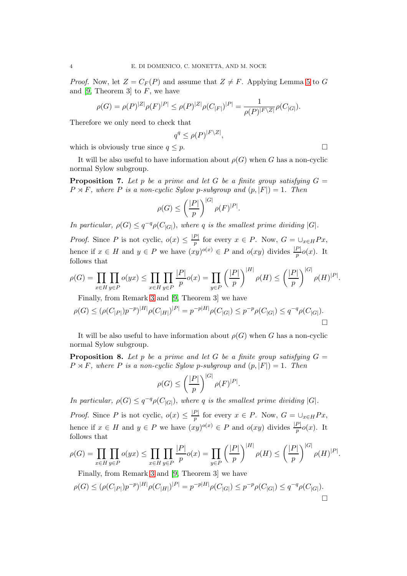*Proof.* Now, let  $Z = C_F(P)$  and assume that  $Z \neq F$ . Applying Lemma [5](#page-2-0) to G and [\[9,](#page-8-15) Theorem 3] to  $F$ , we have

$$
\rho(G)=\rho(P)^{|Z|}\rho(F)^{|P|}\leq \rho(P)^{|Z|}\rho(C_{|F|})^{|P|}=\frac{1}{\rho(P)^{|F\backslash Z|}}\rho(C_{|G|}).
$$

Therefore we only need to check that

$$
q^q \leq \rho(P)^{|F \backslash Z|},
$$

which is obviously true since  $q \leq p$ .

It will be also useful to have information about  $\rho(G)$  when G has a non-cyclic normal Sylow subgroup.

**Proposition 7.** Let p be a prime and let G be a finite group satisfying  $G =$  $P \rtimes F$ , where P is a non-cyclic Sylow p-subgroup and  $(p, |F|) = 1$ . Then

$$
\rho(G) \le \left(\frac{|P|}{p}\right)^{|G|} \rho(F)^{|P|}.
$$

In particular,  $\rho(G) \leq q^{-q} \rho(C_{|G|})$ , where q is the smallest prime dividing |G|.

*Proof.* Since P is not cyclic,  $o(x) \leq \frac{|P|}{n}$  $\frac{F}{p}$  for every  $x \in P$ . Now,  $G = \bigcup_{x \in H} Px$ , hence if  $x \in H$  and  $y \in P$  we have  $(xy)^{o(x)} \in P$  and  $o(xy)$  divides  $\frac{|P|}{p}o(x)$ . It follows that

$$
\rho(G) = \prod_{x \in H} \prod_{y \in P} o(yx) \le \prod_{x \in H} \prod_{y \in P} \frac{|P|}{p} o(x) = \prod_{y \in P} \left(\frac{|P|}{p}\right)^{|H|} \rho(H) \le \left(\frac{|P|}{p}\right)^{|G|} \rho(H)^{|P|}.
$$

Finally, from Remark [3](#page-2-1) and [\[9,](#page-8-15) Theorem 3] we have

$$
\rho(G) \le (\rho(C_{|P|})p^{-p})^{|H|}\rho(C_{|H|})^{|P|} = p^{-p|H|}\rho(C_{|G|}) \le p^{-p}\rho(C_{|G|}) \le q^{-q}\rho(C_{|G|}).
$$

<span id="page-3-0"></span>It will be also useful to have information about  $\rho(G)$  when G has a non-cyclic normal Sylow subgroup.

**Proposition 8.** Let p be a prime and let G be a finite group satisfying  $G =$  $P \rtimes F$ , where P is a non-cyclic Sylow p-subgroup and  $(p, |F|) = 1$ . Then

$$
\rho(G) \le \left(\frac{|P|}{p}\right)^{|G|} \rho(F)^{|P|}.
$$

In particular,  $\rho(G) \leq q^{-q} \rho(C_{|G|})$ , where q is the smallest prime dividing |G|.

*Proof.* Since P is not cyclic,  $o(x) \leq \frac{|P|}{n}$  $\frac{F}{p}$  for every  $x \in P$ . Now,  $G = \bigcup_{x \in H} Px$ , hence if  $x \in H$  and  $y \in P$  we have  $(xy)^{o(x)} \in P$  and  $o(xy)$  divides  $\frac{|P|}{p}o(x)$ . It follows that

$$
\rho(G) = \prod_{x \in H} \prod_{y \in P} o(yx) \le \prod_{x \in H} \prod_{y \in P} \frac{|P|}{p} o(x) = \prod_{y \in P} \left(\frac{|P|}{p}\right)^{|H|} \rho(H) \le \left(\frac{|P|}{p}\right)^{|G|} \rho(H)^{|P|}.
$$

Finally, from Remark [3](#page-2-1) and [\[9,](#page-8-15) Theorem 3] we have

$$
\rho(G) \le (\rho(C_{|P|})p^{-p})^{|H|}\rho(C_{|H|})^{|P|} = p^{-p|H|}\rho(C_{|G|}) \le p^{-p}\rho(C_{|G|}) \le q^{-q}\rho(C_{|G|}).
$$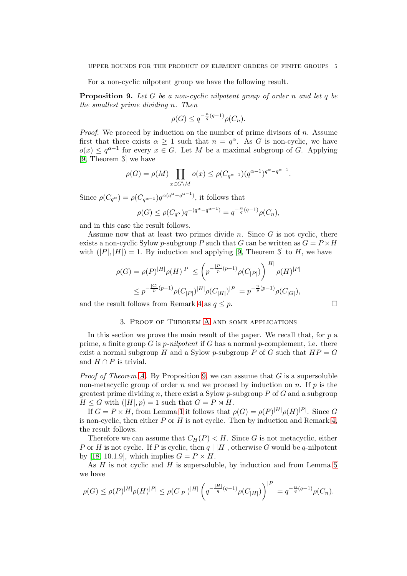<span id="page-4-0"></span>For a non-cyclic nilpotent group we have the following result.

**Proposition 9.** Let G be a non-cyclic nilpotent group of order n and let q be the smallest prime dividing n. Then

$$
\rho(G) \le q^{-\frac{n}{q}(q-1)}\rho(C_n).
$$

*Proof.* We proceed by induction on the number of prime divisors of  $n$ . Assume first that there exists  $\alpha \geq 1$  such that  $n = q^{\alpha}$ . As G is non-cyclic, we have  $o(x) \leq q^{\alpha-1}$  for every  $x \in G$ . Let M be a maximal subgroup of G. Applying [\[9,](#page-8-15) Theorem 3] we have

$$
\rho(G) = \rho(M) \prod_{x \in G \setminus M} o(x) \le \rho(C_{q^{\alpha-1}})(q^{\alpha-1})^{q^{\alpha}-q^{\alpha-1}}.
$$

Since  $\rho(C_{q^{\alpha}}) = \rho(C_{q^{\alpha-1}})q^{\alpha(q^{\alpha}-q^{\alpha-1})}$ , it follows that

$$
\rho(G) \le \rho(C_{q^{\alpha}}) q^{-(q^{\alpha} - q^{\alpha - 1})} = q^{-\frac{n}{q}(q-1)} \rho(C_n),
$$

and in this case the result follows.

Assume now that at least two primes divide n. Since  $G$  is not cyclic, there exists a non-cyclic Sylow p-subgroup P such that G can be written as  $G = P \times H$ with  $(|P|, |H|) = 1$ . By induction and applying [\[9,](#page-8-15) Theorem 3] to H, we have

$$
\rho(G) = \rho(P)^{|H|} \rho(H)^{|P|} \le \left( p^{-\frac{|P|}{p}(p-1)} \rho(C_{|P|}) \right)^{|H|} \rho(H)^{|P|}
$$
  

$$
\le p^{-\frac{|G|}{p}(p-1)} \rho(C_{|P|})^{|H|} \rho(C_{|H|})^{|P|} = p^{-\frac{n}{p}(p-1)} \rho(C_{|G|}),
$$

and the result follows from Remark [4](#page-2-2) as  $q \leq p$ .

#### 3. Proof of Theorem [A](#page-1-0) and some applications

In this section we prove the main result of the paper. We recall that, for  $p$  a prime, a finite group G is *p-nilpotent* if G has a normal *p*-complement, i.e. there exist a normal subgroup H and a Sylow p-subgroup P of G such that  $HP = G$ and  $H \cap P$  is trivial.

*Proof of Theorem [A.](#page-1-0)* By Proposition [9,](#page-4-0) we can assume that  $G$  is a supersoluble non-metacyclic group of order n and we proceed by induction on n. If p is the greatest prime dividing n, there exist a Sylow p-subgroup  $P$  of  $G$  and a subgroup  $H \leq G$  with  $(|H|, p) = 1$  such that  $G = P \rtimes H$ .

If  $G = P \times H$ , from Lemma [1](#page-2-3) it follows that  $\rho(G) = \rho(P)^{|H|} \rho(H)^{|P|}$ . Since G is non-cyclic, then either  $P$  or  $H$  is not cyclic. Then by induction and Remark [4,](#page-2-2) the result follows.

Therefore we can assume that  $C_H(P) < H$ . Since G is not metacyclic, either P or H is not cyclic. If P is cyclic, then  $q \mid |H|$ , otherwise G would be q-nilpotent by [\[18,](#page-8-18) 10.1.9], which implies  $G = P \times H$ .

As  $H$  is not cyclic and  $H$  is supersoluble, by induction and from Lemma [5](#page-2-0) we have

$$
\rho(G) \le \rho(P)^{|H|} \rho(H)^{|P|} \le \rho(C_{|P|})^{|H|} \left( q^{-\frac{|H|}{q}(q-1)} \rho(C_{|H|}) \right)^{|P|} = q^{-\frac{n}{q}(q-1)} \rho(C_n).
$$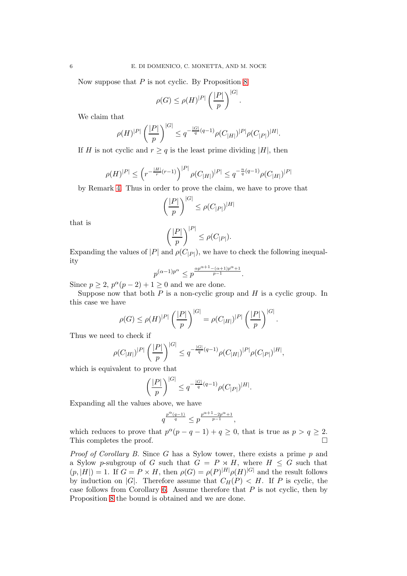Now suppose that  $P$  is not cyclic. By Proposition [8](#page-3-0)

$$
\rho(G) \le \rho(H)^{|P|} \left(\frac{|P|}{p}\right)^{|G|}
$$

.

We claim that

$$
\rho(H)^{|P|} \left(\frac{|P|}{p}\right)^{|G|} \le q^{-\frac{|G|}{q}(q-1)} \rho(C_{|H|})^{|P|} \rho(C_{|P|})^{|H|}.
$$

If H is not cyclic and  $r \geq q$  is the least prime dividing |H|, then

$$
\rho(H)^{|P|} \le \left(r^{-\frac{|H|}{r}(r-1)}\right)^{|P|} \rho(C_{|H|})^{|P|} \le q^{-\frac{n}{q}(q-1)} \rho(C_{|H|})^{|P|}
$$

by Remark [4.](#page-2-2) Thus in order to prove the claim, we have to prove that

$$
\left(\frac{|P|}{p}\right)^{|G|} \le \rho(C_{|P|})^{|H|}
$$

that is

$$
\left(\frac{|P|}{p}\right)^{|P|} \le \rho(C_{|P|}).
$$

Expanding the values of  $|P|$  and  $\rho(C_{|P|})$ , we have to check the following inequality

$$
p^{(\alpha-1)p^{\alpha}} \le p^{\frac{\alpha p^{\alpha+1}-(\alpha+1)p^{\alpha}+1}{p-1}}.
$$

Since  $p \ge 2$ ,  $p^{\alpha}(p-2) + 1 \ge 0$  and we are done.

Suppose now that both  $P$  is a non-cyclic group and  $H$  is a cyclic group. In this case we have

$$
\rho(G) \le \rho(H)^{|P|} \left(\frac{|P|}{p}\right)^{|G|} = \rho(C_{|H|})^{|P|} \left(\frac{|P|}{p}\right)^{|G|}.
$$

Thus we need to check if

$$
\rho(C_{|H|})^{|P|} \left(\frac{|P|}{p}\right)^{|G|} \leq q^{-\frac{|G|}{q}(q-1)} \rho(C_{|H|})^{|P|} \rho(C_{|P|})^{|H|},
$$

which is equivalent to prove that

$$
\left(\frac{|P|}{p}\right)^{|G|} \le q^{-\frac{|G|}{q}(q-1)}\rho(C_{|P|})^{|H|}.
$$

Expanding all the values above, we have

$$
q^{\frac{p^{\alpha}(q-1)}{q}} \leq p^{\frac{p^{\alpha+1}-2p^{\alpha}+1}{p-1}},
$$

which reduces to prove that  $p^{\alpha}(p - q - 1) + q \ge 0$ , that is true as  $p > q \ge 2$ . This completes the proof.  $\Box$ 

*Proof of Corollary B.* Since G has a Sylow tower, there exists a prime  $p$  and a Sylow p-subgroup of G such that  $G = P \rtimes H$ , where  $H \leq G$  such that  $(p, |H|) = 1$ . If  $G = P \times H$ , then  $\rho(G) = \rho(P)^{|H|} \rho(H)^{|G|}$  and the result follows by induction on |G|. Therefore assume that  $C_H(P) < H$ . If P is cyclic, the case follows from Corollary [6.](#page-2-4) Assume therefore that  $P$  is not cyclic, then by Proposition [8](#page-3-0) the bound is obtained and we are done.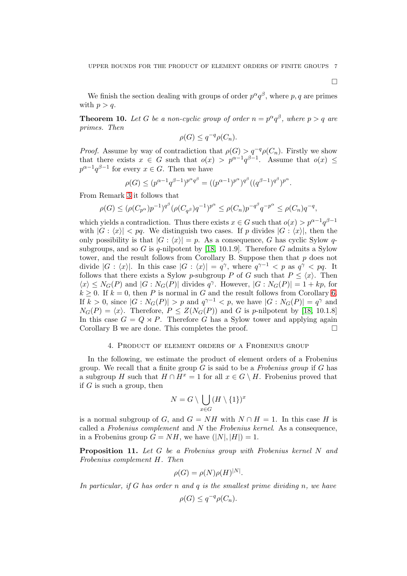$\Box$ 

<span id="page-6-0"></span>We finish the section dealing with groups of order  $p^{\alpha}q^{\beta}$ , where p, q are primes with  $p > q$ .

**Theorem 10.** Let G be a non-cyclic group of order  $n = p^{\alpha}q^{\beta}$ , where  $p > q$  are primes. Then

$$
\rho(G) \leq q^{-q} \rho(C_n).
$$

*Proof.* Assume by way of contradiction that  $\rho(G) > q^{-q} \rho(C_n)$ . Firstly we show that there exists  $x \in G$  such that  $o(x) > p^{\alpha-1}q^{\beta-1}$ . Assume that  $o(x) \leq$  $p^{\alpha-1}q^{\beta-1}$  for every  $x \in G$ . Then we have

$$
\rho(G) \le (p^{\alpha - 1} q^{\beta - 1})^{p^{\alpha} q^{\beta}} = ((p^{\alpha - 1})^{p^{\alpha}})^{q^{\beta}} ((q^{\beta - 1})^{q^{\beta}})^{p^{\alpha}}.
$$

From Remark [3](#page-2-1) it follows that

$$
\rho(G) \le (\rho(C_{p^{\alpha}})p^{-1})^{q^{\beta}}(\rho(C_{q^{\beta}})q^{-1})^{p^{\alpha}} \le \rho(C_n)p^{-q^{\beta}}q^{-p^{\alpha}} \le \rho(C_n)q^{-q},
$$

which yields a contradiction. Thus there exists  $x \in G$  such that  $o(x) > p^{\alpha-1}q^{\beta-1}$ with  $|G : \langle x \rangle| < pq$ . We distinguish two cases. If p divides  $|G : \langle x \rangle|$ , then the only possibility is that  $|G : \langle x \rangle| = p$ . As a consequence, G has cyclic Sylow q-subgroups, and so G is q-nilpotent by [\[18,](#page-8-18) 10.1.9]. Therefore G admits a Sylow tower, and the result follows from Corollary B. Suppose then that  $p$  does not divide  $|G : \langle x \rangle|$ . In this case  $|G : \langle x \rangle| = q^{\gamma}$ , where  $q^{\gamma-1} < p$  as  $q^{\gamma} < pq$ . It follows that there exists a Sylow p-subgroup P of G such that  $P \leq \langle x \rangle$ . Then  $\langle x \rangle \leq N_G(P)$  and  $|G: N_G(P)|$  divides  $q^{\gamma}$ . However,  $|G: N_G(P)| = 1 + kp$ , for  $k \geq 0$ . If  $k = 0$ , then P is normal in G and the result follows from Corollary [6.](#page-2-4) If  $k > 0$ , since  $|G : N_G(P)| > p$  and  $q^{\gamma - 1} < p$ , we have  $|G : N_G(P)| = q^{\gamma}$  and  $N_G(P) = \langle x \rangle$ . Therefore,  $P \leq Z(N_G(P))$  and G is p-nilpotent by [\[18,](#page-8-18) 10.1.8] In this case  $G = Q \rtimes P$ . Therefore G has a Sylow tower and applying again Corollary B we are done. This completes the proof.  $\Box$ 

#### 4. Product of element orders of a Frobenius group

In the following, we estimate the product of element orders of a Frobenius group. We recall that a finite group  $G$  is said to be a Frobenius group if  $G$  has a subgroup H such that  $H \cap H^x = 1$  for all  $x \in G \setminus H$ . Frobenius proved that if  $G$  is such a group, then

$$
N=G\setminus\bigcup_{x\in G}(H\setminus\{1\})^x
$$

is a normal subgroup of G, and  $G = NH$  with  $N \cap H = 1$ . In this case H is called a Frobenius complement and  $N$  the Frobenius kernel. As a consequence, in a Frobenius group  $G = NH$ , we have  $(|N|, |H|) = 1$ .

<span id="page-6-1"></span>Proposition 11. Let G be a Frobenius group with Frobenius kernel N and Frobenius complement H. Then

$$
\rho(G) = \rho(N)\rho(H)^{|N|}.
$$

In particular, if  $G$  has order n and  $q$  is the smallest prime dividing n, we have

$$
\rho(G) \leq q^{-q} \rho(C_n).
$$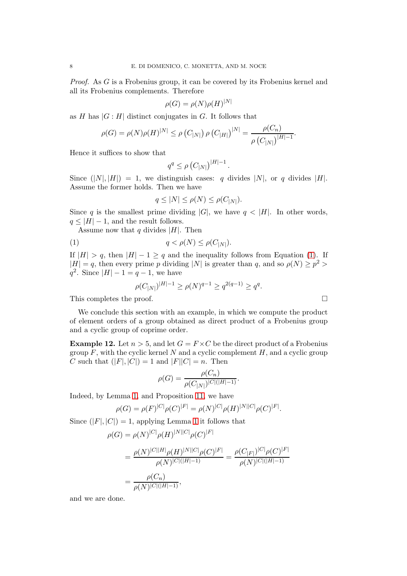Proof. As G is a Frobenius group, it can be covered by its Frobenius kernel and all its Frobenius complements. Therefore

$$
\rho(G) = \rho(N)\rho(H)^{|N|}
$$

as H has  $|G : H|$  distinct conjugates in G. It follows that

$$
\rho(G) = \rho(N)\rho(H)^{|N|} \le \rho(C_{|N|}) \rho(C_{|H|})^{|N|} = \frac{\rho(C_n)}{\rho(C_{|N|})^{|H|-1}}.
$$

Hence it suffices to show that

$$
q^q \leq \rho \left( C_{|N|} \right)^{|H|-1}.
$$

Since  $(|N|, |H|) = 1$ , we distinguish cases: q divides  $|N|$ , or q divides  $|H|$ . Assume the former holds. Then we have

<span id="page-7-0"></span>
$$
q \leq |N| \leq \rho(N) \leq \rho(C_{|N|}).
$$

Since q is the smallest prime dividing  $|G|$ , we have  $q < |H|$ . In other words,  $q \leq |H| - 1$ , and the result follows.

Assume now that q divides  $|H|$ . Then

$$
(1) \t\t q < \rho(N) \le \rho(C_{|N|}).
$$

If  $|H| > q$ , then  $|H| - 1 \ge q$  and the inequality follows from Equation [\(1\)](#page-7-0). If  $|H| = q$ , then every prime p dividing |N| is greater than q, and so  $\rho(N) \geq p^2 >$  $q^2$ . Since  $|H| - 1 = q - 1$ , we have

$$
\rho(C_{|N|})^{|H|-1} \ge \rho(N)^{q-1} \ge q^{2(q-1)} \ge q^q.
$$

This completes the proof.  $\Box$ 

We conclude this section with an example, in which we compute the product of element orders of a group obtained as direct product of a Frobenius group and a cyclic group of coprime order.

**Example 12.** Let  $n > 5$ , and let  $G = F \times C$  be the direct product of a Frobenius group  $F$ , with the cyclic kernel N and a cyclic complement  $H$ , and a cyclic group C such that  $(|F|, |C|) = 1$  and  $|F||C| = n$ . Then

$$
\rho(G) = \frac{\rho(C_n)}{\rho(C_{|N|})^{|C|(|H|-1)}}.
$$

Indeed, by Lemma [1,](#page-2-3) and Proposition [11,](#page-6-1) we have

$$
\rho(G) = \rho(F)^{|C|} \rho(C)^{|F|} = \rho(N)^{|C|} \rho(H)^{|N||C|} \rho(C)^{|F|}.
$$

Since  $(|F|, |C|) = 1$  $(|F|, |C|) = 1$ , applying Lemma 1 it follows that

$$
\rho(G) = \rho(N)^{|C|} \rho(H)^{|N||C|} \rho(C)^{|F|}
$$
  
= 
$$
\frac{\rho(N)^{|C||H|} \rho(H)^{|N||C|} \rho(C)^{|F|}}{\rho(N)^{|C|(|H|-1)}} = \frac{\rho(C_{|F|})^{|C|} \rho(C)^{|F|}}{\rho(N)^{|C|(|H|-1)}}
$$
  
= 
$$
\frac{\rho(C_n)}{\rho(N)^{|C|(|H|-1)}},
$$

and we are done.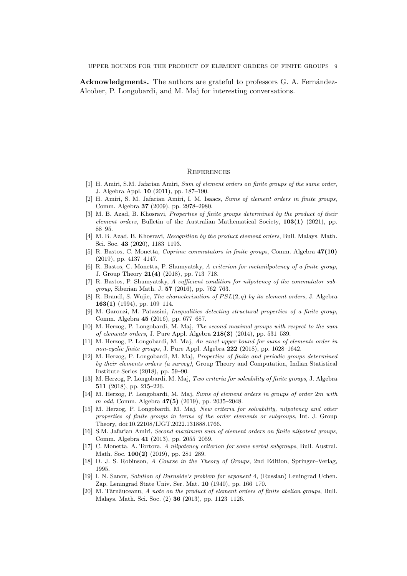UPPER BOUNDS FOR THE PRODUCT OF ELEMENT ORDERS OF FINITE GROUPS 9

**Acknowledgments.** The authors are grateful to professors G. A. Fernández-Alcober, P. Longobardi, and M. Maj for interesting conversations.

# **REFERENCES**

- <span id="page-8-8"></span>[1] H. Amiri, S.M. Jafarian Amiri, Sum of element orders on finite groups of the same order, J. Algebra Appl. 10 (2011), pp. 187–190.
- <span id="page-8-7"></span>[2] H. Amiri, S. M. Jafarian Amiri, I. M. Isaacs, Sums of element orders in finite groups, Comm. Algebra 37 (2009), pp. 2978–2980.
- <span id="page-8-17"></span>[3] M. B. Azad, B. Khosravi, Properties of finite groups determined by the product of their element orders, Bulletin of the Australian Mathematical Society, 103(1) (2021), pp. 88–95.
- <span id="page-8-14"></span>[4] M. B. Azad, B. Khosravi, *Recognition by the product element orders*, Bull. Malays. Math. Sci. Soc. 43 (2020), 1183–1193.
- <span id="page-8-3"></span>[5] R. Bastos, C. Monetta, Coprime commutators in finite groups, Comm. Algebra 47(10) (2019), pp. 4137–4147.
- [6] R. Bastos, C. Monetta, P. Shumyatsky, A criterion for metanilpotency of a finite group, J. Group Theory 21(4) (2018), pp. 713–718.
- <span id="page-8-4"></span>[7] R. Bastos, P. Shumyatsky, A sufficient condition for nilpotency of the commutator subgroup, Siberian Math. J. 57 (2016), pp. 762–763.
- <span id="page-8-0"></span>[8] R. Brandl, S. Wujie, *The characterization of*  $PSL(2,q)$  *by its element orders*, J. Algebra 163(1) (1994), pp. 109–114.
- <span id="page-8-15"></span>[9] M. Garonzi, M. Patassini, Inequalities detecting structural properties of a finite group, Comm. Algebra 45 (2016), pp. 677–687.
- <span id="page-8-11"></span>[10] M. Herzog, P. Longobardi, M. Maj, The second maximal groups with respect to the sum of elements orders, J. Pure Appl. Algebra  $218(3)$  (2014), pp. 531–539.
- <span id="page-8-10"></span>[11] M. Herzog, P. Longobardi, M. Maj, An exact upper bound for sums of elements order in non-cyclic finite groups, J. Pure Appl. Algebra  $222$  (2018), pp. 1628–1642.
- <span id="page-8-2"></span>[12] M. Herzog, P. Longobardi, M. Maj, Properties of finite and periodic groups determined by their elements orders (a survey), Group Theory and Computation, Indian Statistical Institute Series (2018), pp. 59–90.
- <span id="page-8-12"></span>[13] M. Herzog, P. Longobardi, M. Maj, Two criteria for solvability of finite groups, J. Algebra 511 (2018), pp. 215–226.
- <span id="page-8-13"></span>[14] M. Herzog, P. Longobardi, M. Maj, Sums of element orders in groups of order 2m with m odd, Comm. Algebra **47(5)** (2019), pp. 2035–2048.
- <span id="page-8-6"></span>[15] M. Herzog, P. Longobardi, M. Maj, New criteria for solvability, nilpotency and other properties of finite groups in terms of the order elements or subgroups, Int. J. Group Theory, doi:10.22108/IJGT.2022.131888.1766.
- <span id="page-8-9"></span>[16] S.M. Jafarian Amiri, Second maximum sum of element orders on finite nilpotent groups, Comm. Algebra 41 (2013), pp. 2055–2059.
- <span id="page-8-5"></span>[17] C. Monetta, A. Tortora, A nilpotency criterion for some verbal subgroups, Bull. Austral. Math. Soc. **100(2)** (2019), pp. 281-289.
- <span id="page-8-18"></span>[18] D. J. S. Robinson, A Course in the Theory of Groups, 2nd Edition, Springer–Verlag, 1995.
- <span id="page-8-1"></span>[19] I. N. Sanov, Solution of Burnside's problem for exponent 4, (Russian) Leningrad Uchen. Zap. Leningrad State Univ. Ser. Mat. 10 (1940), pp. 166–170.
- <span id="page-8-16"></span> $[20]$  M. Tărnăuceanu, A note on the product of element orders of finite abelian groups, Bull. Malays. Math. Sci. Soc. (2) 36 (2013), pp. 1123–1126.